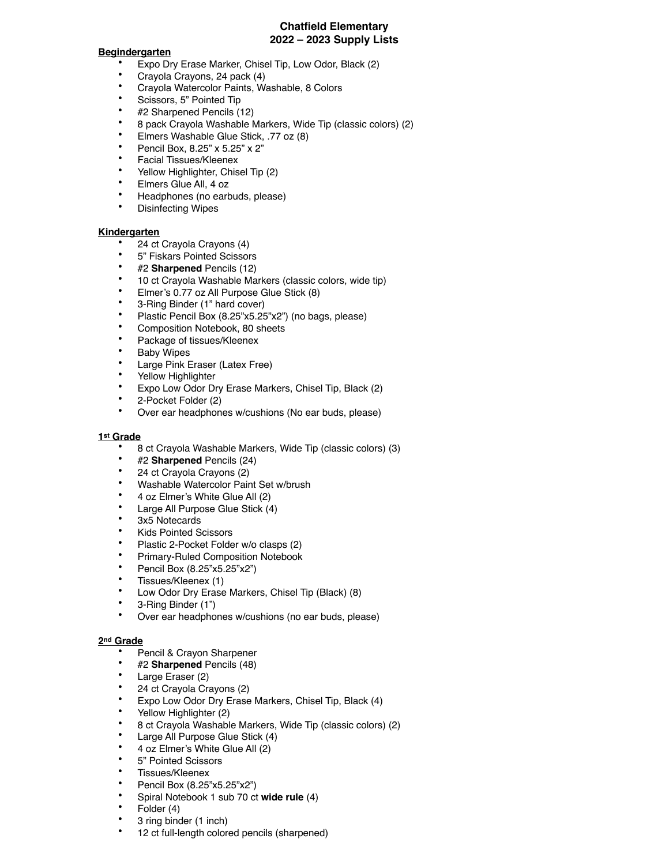## **Chatfield Elementary 2022 – 2023 Supply Lists**

#### **Begindergarten**

- Expo Dry Erase Marker, Chisel Tip, Low Odor, Black (2)
- Crayola Crayons, 24 pack (4)
- Crayola Watercolor Paints, Washable, 8 Colors
- Scissors, 5" Pointed Tip
- #2 Sharpened Pencils (12)
- 8 pack Crayola Washable Markers, Wide Tip (classic colors) (2)
- Elmers Washable Glue Stick, .77 oz  $(8)$ <br>• Beneil Bey,  $8.95$ " y  $5.95$ " y  $2$ "
- Pencil Box, 8.25" x 5.25" x 2"
- Facial Tissues/Kleenex
- Yellow Highlighter, Chisel Tip (2)
- Elmers Glue All, 4 oz
- Headphones (no earbuds, please)
- Disinfecting Wipes

#### **Kindergarten**

- 24 ct Crayola Crayons (4)
- 5" Fiskars Pointed Scissors
- #2 **Sharpened** Pencils (12)
- 10 ct Crayola Washable Markers (classic colors, wide tip)
- Elmer's 0.77 oz All Purpose Glue Stick (8)
- 3-Ring Binder (1" hard cover)
- Plastic Pencil Box (8.25"x5.25"x2") (no bags, please)
- Composition Notebook, 80 sheets
- Package of tissues/Kleenex
- **Baby Wipes**
- Large Pink Eraser (Latex Free)
- Yellow Highlighter
- Expo Low Odor Dry Erase Markers, Chisel Tip, Black (2)
- 2-Pocket Folder (2)
- Over ear headphones w/cushions (No ear buds, please)

# **1st Grade**

- 8 ct Crayola Washable Markers, Wide Tip (classic colors) (3)
- #2 **Sharpened** Pencils (24)
- 24 ct Crayola Crayons (2)
- Washable Watercolor Paint Set w/brush
- 4 oz Elmer's White Glue All (2)
- Large All Purpose Glue Stick (4)
- 3x5 Notecards
- Kids Pointed Scissors
- Plastic 2-Pocket Folder w/o clasps (2)
- Primary-Ruled Composition Notebook
- Pencil Box  $(8.25"x5.25"x2")$ <br>• Tissues (Klasney (1)
- Tissues/Kleenex (1)
- Low Odor Dry Erase Markers, Chisel Tip (Black) (8)
- 3-Ring Binder (1")
- Over ear headphones w/cushions (no ear buds, please)

### **2nd Grade**

- Pencil & Crayon Sharpener
- #2 **Sharpened** Pencils (48)
- Large Eraser (2)
- 24 ct Crayola Crayons (2)
- Expo Low Odor Dry Erase Markers, Chisel Tip, Black (4)
- Yellow Highlighter (2)
- 8 ct Crayola Washable Markers, Wide Tip (classic colors) (2)
- Large All Purpose Glue Stick (4)
- 4 oz Elmer's White Glue All (2)
- 5" Pointed Scissors
- Tissues/Kleenex
- Pencil Box (8.25"x5.25"x2")
- Spiral Notebook 1 sub 70 ct **wide rule** (4)
- Folder (4)
- 3 ring binder (1 inch)
- 12 ct full-length colored pencils (sharpened)